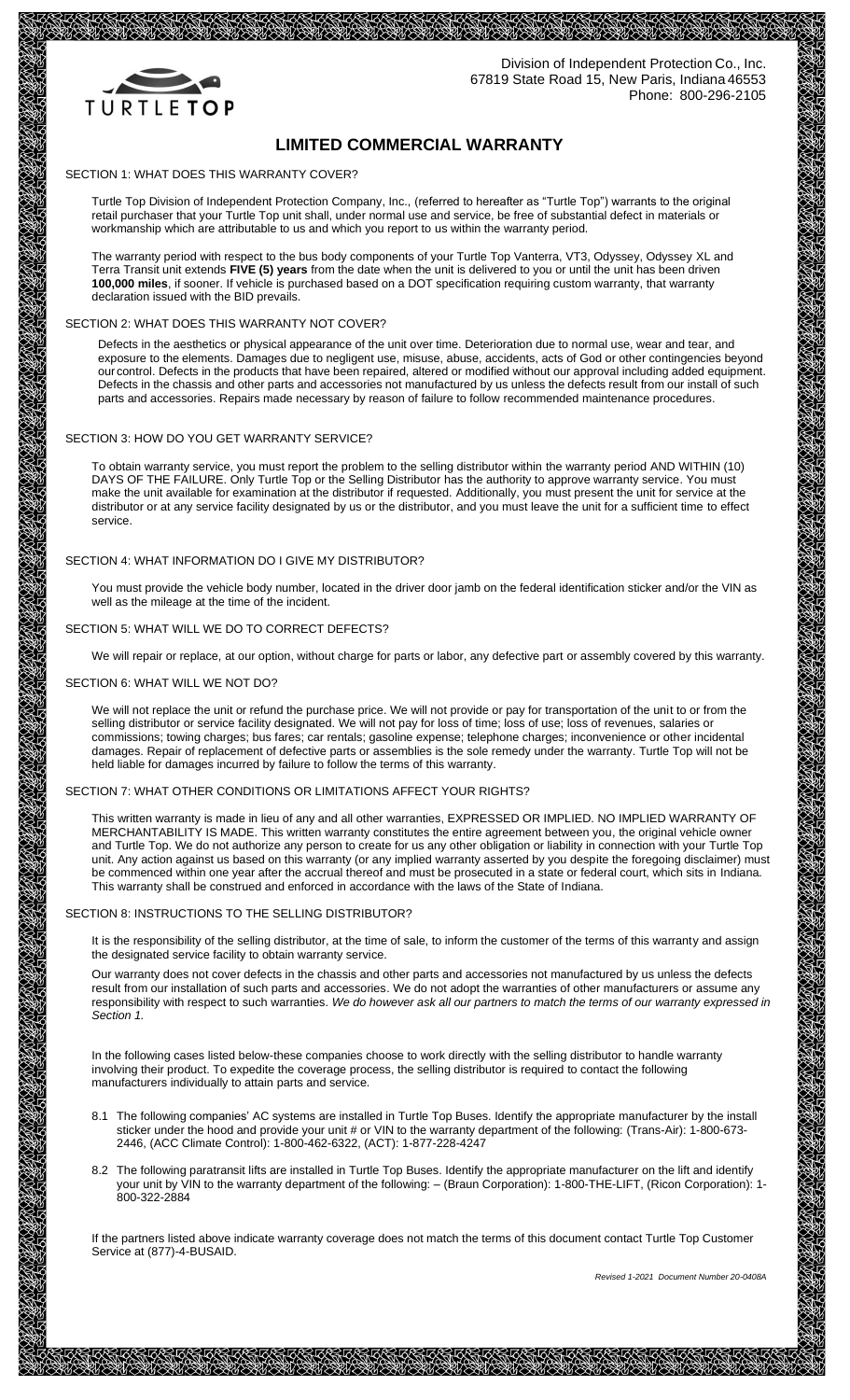

Division of Independent Protection Co., Inc. 67819 State Road 15, New Paris, Indiana 46553 Phone: 800-296-2105

# **LIMITED COMMERCIAL WARRANTY**

SECTION 1: WHAT DOES THIS WARRANTY COVER?

Turtle Top Division of Independent Protection Company, Inc., (referred to hereafter as "Turtle Top") warrants to the original retail purchaser that your Turtle Top unit shall, under normal use and service, be free of substantial defect in materials or workmanship which are attributable to us and which you report to us within the warranty period.

The warranty period with respect to the bus body components of your Turtle Top Vanterra, VT3, Odyssey, Odyssey XL and Terra Transit unit extends **FIVE (5) years** from the date when the unit is delivered to you or until the unit has been driven **100,000 miles**, if sooner. If vehicle is purchased based on a DOT specification requiring custom warranty, that warranty declaration issued with the BID prevails.

## SECTION 2: WHAT DOES THIS WARRANTY NOT COVER?

Defects in the aesthetics or physical appearance of the unit over time. Deterioration due to normal use, wear and tear, and exposure to the elements. Damages due to negligent use, misuse, abuse, accidents, acts of God or other contingencies beyond our control. Defects in the products that have been repaired, altered or modified without our approval including added equipment. Defects in the chassis and other parts and accessories not manufactured by us unless the defects result from our install of such parts and accessories. Repairs made necessary by reason of failure to follow recommended maintenance procedures.

## SECTION 3: HOW DO YOU GET WARRANTY SERVICE?

To obtain warranty service, you must report the problem to the selling distributor within the warranty period AND WITHIN (10) DAYS OF THE FAILURE. Only Turtle Top or the Selling Distributor has the authority to approve warranty service. You must make the unit available for examination at the distributor if requested. Additionally, you must present the unit for service at the distributor or at any service facility designated by us or the distributor, and you must leave the unit for a sufficient time to effect service.

# SECTION 4: WHAT INFORMATION DO I GIVE MY DISTRIBUTOR?

You must provide the vehicle body number, located in the driver door jamb on the federal identification sticker and/or the VIN as well as the mileage at the time of the incident.

#### SECTION 5: WHAT WILL WE DO TO CORRECT DEFECTS?

We will repair or replace, at our option, without charge for parts or labor, any defective part or assembly covered by this warranty.

## SECTION 6: WHAT WILL WE NOT DO?

We will not replace the unit or refund the purchase price. We will not provide or pay for transportation of the unit to or from the selling distributor or service facility designated. We will not pay for loss of time; loss of use; loss of revenues, salaries or commissions; towing charges; bus fares; car rentals; gasoline expense; telephone charges; inconvenience or other incidental damages. Repair of replacement of defective parts or assemblies is the sole remedy under the warranty. Turtle Top will not be held liable for damages incurred by failure to follow the terms of this warranty.

## SECTION 7: WHAT OTHER CONDITIONS OR LIMITATIONS AFFECT YOUR RIGHTS?

This written warranty is made in lieu of any and all other warranties, EXPRESSED OR IMPLIED. NO IMPLIED WARRANTY OF MERCHANTABILITY IS MADE. This written warranty constitutes the entire agreement between you, the original vehicle owner and Turtle Top. We do not authorize any person to create for us any other obligation or liability in connection with your Turtle Top unit. Any action against us based on this warranty (or any implied warranty asserted by you despite the foregoing disclaimer) must be commenced within one year after the accrual thereof and must be prosecuted in a state or federal court, which sits in Indiana. This warranty shall be construed and enforced in accordance with the laws of the State of Indiana.

#### SECTION 8: INSTRUCTIONS TO THE SELLING DISTRIBUTOR?

It is the responsibility of the selling distributor, at the time of sale, to inform the customer of the terms of this warranty and assign the designated service facility to obtain warranty service.

Our warranty does not cover defects in the chassis and other parts and accessories not manufactured by us unless the defects result from our installation of such parts and accessories. We do not adopt the warranties of other manufacturers or assume any responsibility with respect to such warranties. *We do however ask all our partners to match the terms of our warranty expressed in Section 1.*

In the following cases listed below-these companies choose to work directly with the selling distributor to handle warranty involving their product. To expedite the coverage process, the selling distributor is required to contact the following manufacturers individually to attain parts and service.

- 8.1 The following companies' AC systems are installed in Turtle Top Buses. Identify the appropriate manufacturer by the install sticker under the hood and provide your unit # or VIN to the warranty department of the following: (Trans-Air): 1-800-673- 2446, (ACC Climate Control): 1-800-462-6322, (ACT): 1-877-228-4247
- 8.2 The following paratransit lifts are installed in Turtle Top Buses. Identify the appropriate manufacturer on the lift and identify your unit by VIN to the warranty department of the following: – (Braun Corporation): 1-800-THE-LIFT, (Ricon Corporation): 1- 800-322-2884

If the partners listed above indicate warranty coverage does not match the terms of this document contact Turtle Top Customer Service at (877)-4-BUSAID.

*Revised 1-2021 Document Number 20-0408A*